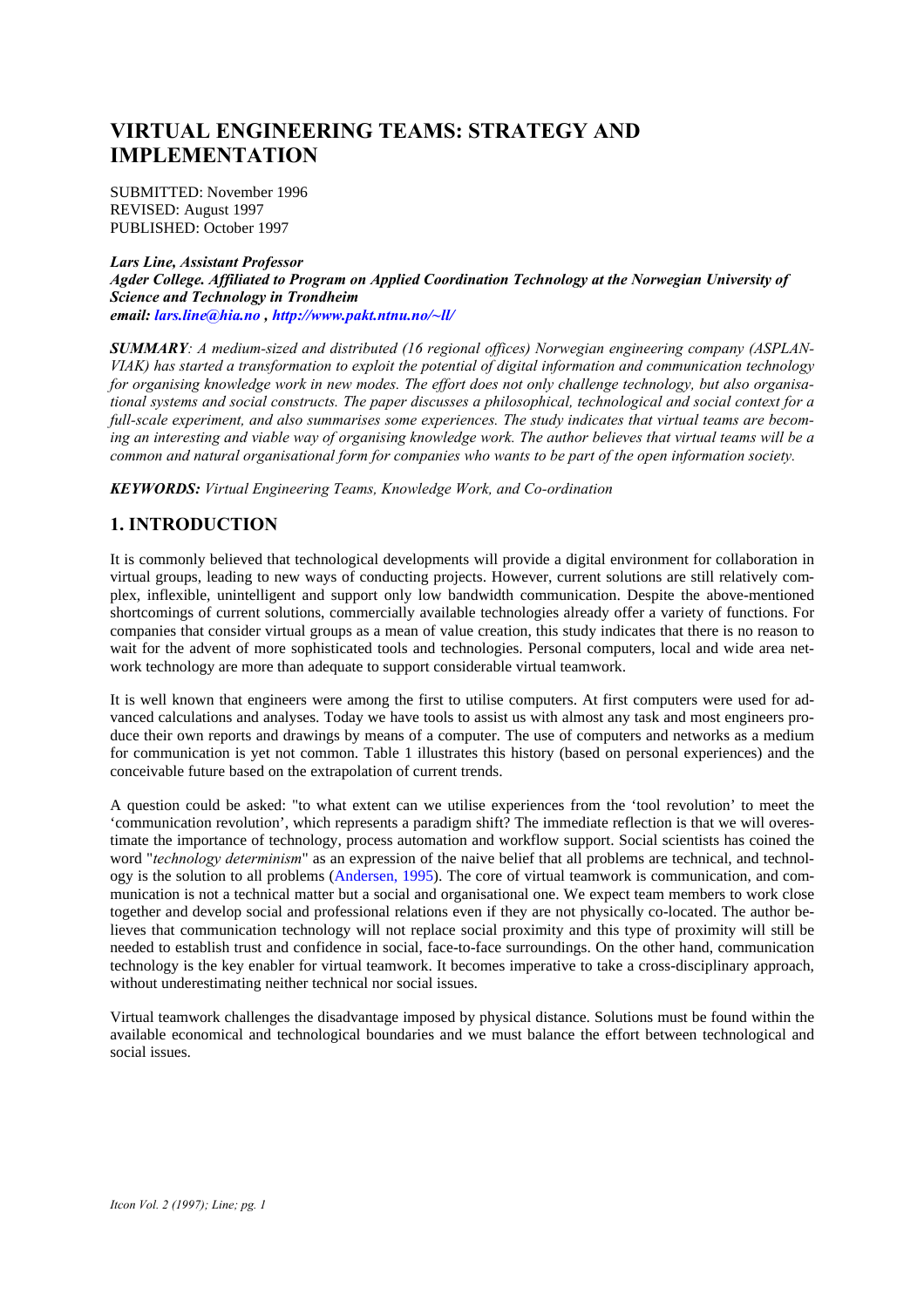# **VIRTUAL ENGINEERING TEAMS: STRATEGY AND IMPLEMENTATION**

SUBMITTED: November 1996 REVISED: August 1997 PUBLISHED: October 1997

*Lars Line, Assistant Professor Agder College. Affiliated to Program on Applied Coordination Technology at the Norwegian University of Science and Technology in Trondheim email: lars.line@hia.no , http://www.pakt.ntnu.no/~ll/*

*SUMMARY: A medium-sized and distributed (16 regional offices) Norwegian engineering company (ASPLAN-VIAK) has started a transformation to exploit the potential of digital information and communication technology for organising knowledge work in new modes. The effort does not only challenge technology, but also organisational systems and social constructs. The paper discusses a philosophical, technological and social context for a full-scale experiment, and also summarises some experiences. The study indicates that virtual teams are becoming an interesting and viable way of organising knowledge work. The author believes that virtual teams will be a common and natural organisational form for companies who wants to be part of the open information society.*

*KEYWORDS: Virtual Engineering Teams, Knowledge Work, and Co-ordination*

## **1. INTRODUCTION**

It is commonly believed that technological developments will provide a digital environment for collaboration in virtual groups, leading to new ways of conducting projects. However, current solutions are still relatively complex, inflexible, unintelligent and support only low bandwidth communication. Despite the above-mentioned shortcomings of current solutions, commercially available technologies already offer a variety of functions. For companies that consider virtual groups as a mean of value creation, this study indicates that there is no reason to wait for the advent of more sophisticated tools and technologies. Personal computers, local and wide area network technology are more than adequate to support considerable virtual teamwork.

It is well known that engineers were among the first to utilise computers. At first computers were used for advanced calculations and analyses. Today we have tools to assist us with almost any task and most engineers produce their own reports and drawings by means of a computer. The use of computers and networks as a medium for communication is yet not common. Table 1 illustrates this history (based on personal experiences) and the conceivable future based on the extrapolation of current trends.

A question could be asked: "to what extent can we utilise experiences from the 'tool revolution' to meet the 'communication revolution', which represents a paradigm shift? The immediate reflection is that we will overestimate the importance of technology, process automation and workflow support. Social scientists has coined the word "*technology determinism*" as an expression of the naive belief that all problems are technical, and technology is the solution to all problems (Andersen, 1995). The core of virtual teamwork is communication, and communication is not a technical matter but a social and organisational one. We expect team members to work close together and develop social and professional relations even if they are not physically co-located. The author believes that communication technology will not replace social proximity and this type of proximity will still be needed to establish trust and confidence in social, face-to-face surroundings. On the other hand, communication technology is the key enabler for virtual teamwork. It becomes imperative to take a cross-disciplinary approach, without underestimating neither technical nor social issues.

Virtual teamwork challenges the disadvantage imposed by physical distance. Solutions must be found within the available economical and technological boundaries and we must balance the effort between technological and social issues.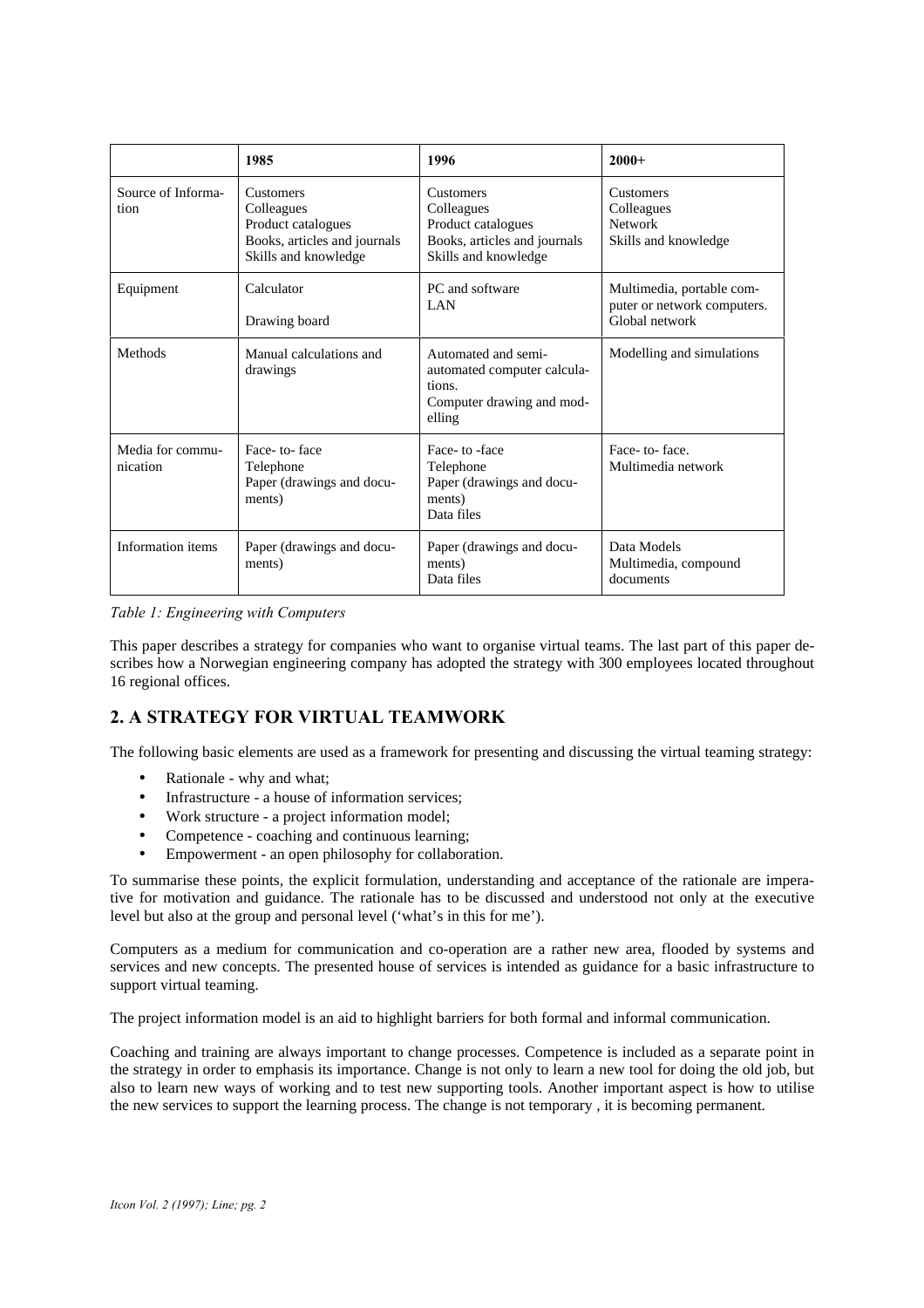|                              | 1985                                                                                                         | 1996                                                                                                         | $2000+$                                                                    |
|------------------------------|--------------------------------------------------------------------------------------------------------------|--------------------------------------------------------------------------------------------------------------|----------------------------------------------------------------------------|
| Source of Informa-<br>tion   | <b>Customers</b><br>Colleagues<br>Product catalogues<br>Books, articles and journals<br>Skills and knowledge | <b>Customers</b><br>Colleagues<br>Product catalogues<br>Books, articles and journals<br>Skills and knowledge | <b>Customers</b><br>Colleagues<br><b>Network</b><br>Skills and knowledge   |
| Equipment                    | Calculator<br>Drawing board                                                                                  | PC and software<br><b>LAN</b>                                                                                | Multimedia, portable com-<br>puter or network computers.<br>Global network |
| Methods                      | Manual calculations and<br>drawings                                                                          | Automated and semi-<br>automated computer calcula-<br>tions.<br>Computer drawing and mod-<br>elling          | Modelling and simulations                                                  |
| Media for commu-<br>nication | Face-to-face<br>Telephone<br>Paper (drawings and docu-<br>ments)                                             | Face-to-face<br>Telephone<br>Paper (drawings and docu-<br>ments)<br>Data files                               | Face-to-face.<br>Multimedia network                                        |
| Information items            | Paper (drawings and docu-<br>ments)                                                                          | Paper (drawings and docu-<br>ments)<br>Data files                                                            | Data Models<br>Multimedia, compound<br>documents                           |

*Table 1: Engineering with Computers*

This paper describes a strategy for companies who want to organise virtual teams. The last part of this paper describes how a Norwegian engineering company has adopted the strategy with 300 employees located throughout 16 regional offices.

## **2. A STRATEGY FOR VIRTUAL TEAMWORK**

The following basic elements are used as a framework for presenting and discussing the virtual teaming strategy:

- Rationale why and what;
- Infrastructure a house of information services:
- Work structure a project information model:
- Competence coaching and continuous learning;
- Empowerment an open philosophy for collaboration.

To summarise these points, the explicit formulation, understanding and acceptance of the rationale are imperative for motivation and guidance. The rationale has to be discussed and understood not only at the executive level but also at the group and personal level ('what's in this for me').

Computers as a medium for communication and co-operation are a rather new area, flooded by systems and services and new concepts. The presented house of services is intended as guidance for a basic infrastructure to support virtual teaming.

The project information model is an aid to highlight barriers for both formal and informal communication.

Coaching and training are always important to change processes. Competence is included as a separate point in the strategy in order to emphasis its importance. Change is not only to learn a new tool for doing the old job, but also to learn new ways of working and to test new supporting tools. Another important aspect is how to utilise the new services to support the learning process. The change is not temporary , it is becoming permanent.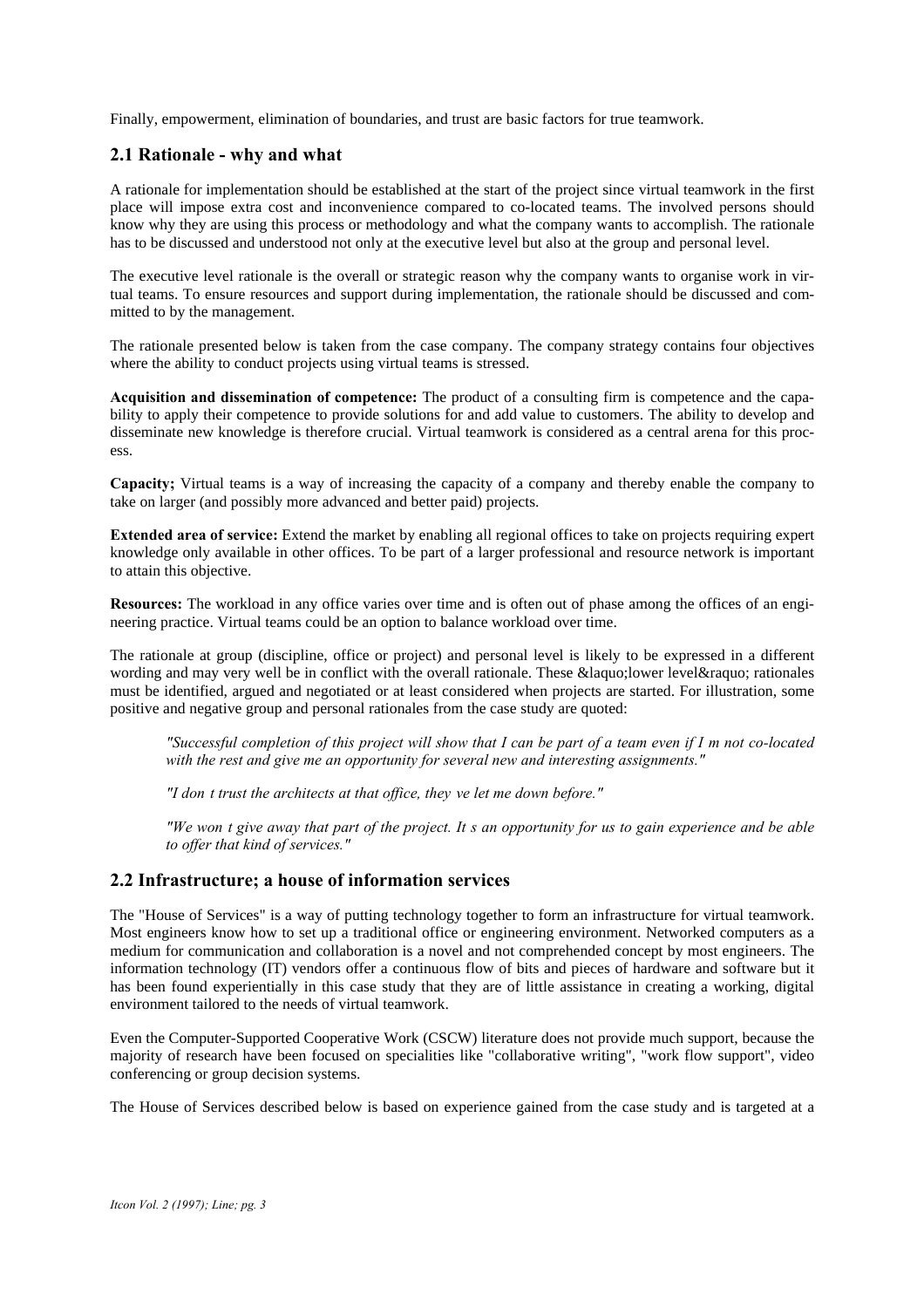Finally, empowerment, elimination of boundaries, and trust are basic factors for true teamwork.

## **2.1 Rationale - why and what**

A rationale for implementation should be established at the start of the project since virtual teamwork in the first place will impose extra cost and inconvenience compared to co-located teams. The involved persons should know why they are using this process or methodology and what the company wants to accomplish. The rationale has to be discussed and understood not only at the executive level but also at the group and personal level.

The executive level rationale is the overall or strategic reason why the company wants to organise work in virtual teams. To ensure resources and support during implementation, the rationale should be discussed and committed to by the management.

The rationale presented below is taken from the case company. The company strategy contains four objectives where the ability to conduct projects using virtual teams is stressed.

**Acquisition and dissemination of competence:** The product of a consulting firm is competence and the capability to apply their competence to provide solutions for and add value to customers. The ability to develop and disseminate new knowledge is therefore crucial. Virtual teamwork is considered as a central arena for this process.

**Capacity;** Virtual teams is a way of increasing the capacity of a company and thereby enable the company to take on larger (and possibly more advanced and better paid) projects.

**Extended area of service:** Extend the market by enabling all regional offices to take on projects requiring expert knowledge only available in other offices. To be part of a larger professional and resource network is important to attain this objective.

**Resources:** The workload in any office varies over time and is often out of phase among the offices of an engineering practice. Virtual teams could be an option to balance workload over time.

The rationale at group (discipline, office or project) and personal level is likely to be expressed in a different wording and may very well be in conflict with the overall rationale. These « lower level» rationales must be identified, argued and negotiated or at least considered when projects are started. For illustration, some positive and negative group and personal rationales from the case study are quoted:

*"Successful completion of this project will show that I can be part of a team even if I'm not co-located with the rest and give me an opportunity for several new and interesting assignments."*

*"I don't trust the architects at that office, they've let me down before."*

*"We won't give away that part of the project. It's an opportunity for us to gain experience and be able to offer that kind of services."*

### **2.2 Infrastructure; a house of information services**

The "House of Services" is a way of putting technology together to form an infrastructure for virtual teamwork. Most engineers know how to set up a traditional office or engineering environment. Networked computers as a medium for communication and collaboration is a novel and not comprehended concept by most engineers. The information technology (IT) vendors offer a continuous flow of bits and pieces of hardware and software but it has been found experientially in this case study that they are of little assistance in creating a working, digital environment tailored to the needs of virtual teamwork.

Even the Computer-Supported Cooperative Work (CSCW) literature does not provide much support, because the majority of research have been focused on specialities like "collaborative writing", "work flow support", video conferencing or group decision systems.

The House of Services described below is based on experience gained from the case study and is targeted at a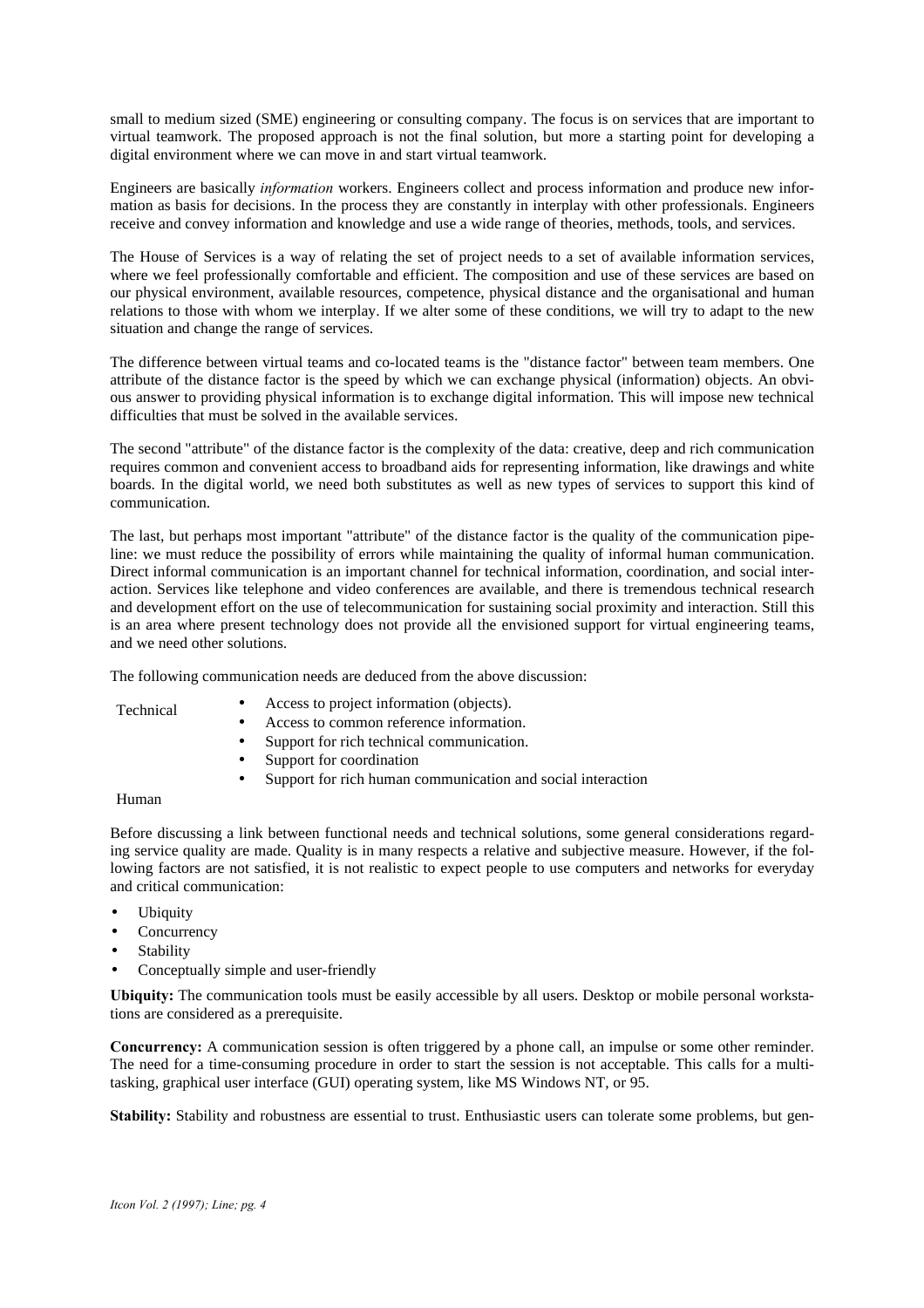small to medium sized (SME) engineering or consulting company. The focus is on services that are important to virtual teamwork. The proposed approach is not the final solution, but more a starting point for developing a digital environment where we can move in and start virtual teamwork.

Engineers are basically *information* workers. Engineers collect and process information and produce new information as basis for decisions. In the process they are constantly in interplay with other professionals. Engineers receive and convey information and knowledge and use a wide range of theories, methods, tools, and services.

The House of Services is a way of relating the set of project needs to a set of available information services, where we feel professionally comfortable and efficient. The composition and use of these services are based on our physical environment, available resources, competence, physical distance and the organisational and human relations to those with whom we interplay. If we alter some of these conditions, we will try to adapt to the new situation and change the range of services.

The difference between virtual teams and co-located teams is the "distance factor" between team members. One attribute of the distance factor is the speed by which we can exchange physical (information) objects. An obvious answer to providing physical information is to exchange digital information. This will impose new technical difficulties that must be solved in the available services.

The second "attribute" of the distance factor is the complexity of the data: creative, deep and rich communication requires common and convenient access to broadband aids for representing information, like drawings and white boards. In the digital world, we need both substitutes as well as new types of services to support this kind of communication.

The last, but perhaps most important "attribute" of the distance factor is the quality of the communication pipeline: we must reduce the possibility of errors while maintaining the quality of informal human communication. Direct informal communication is an important channel for technical information, coordination, and social interaction. Services like telephone and video conferences are available, and there is tremendous technical research and development effort on the use of telecommunication for sustaining social proximity and interaction. Still this is an area where present technology does not provide all the envisioned support for virtual engineering teams, and we need other solutions.

The following communication needs are deduced from the above discussion:

Technical

- Access to project information (objects).
- Access to common reference information.
- Support for rich technical communication.
- Support for coordination
- Support for rich human communication and social interaction

Human

Before discussing a link between functional needs and technical solutions, some general considerations regarding service quality are made. Quality is in many respects a relative and subjective measure. However, if the following factors are not satisfied, it is not realistic to expect people to use computers and networks for everyday and critical communication:

- **Ubiquity**
- **Concurrency**
- **Stability**
- Conceptually simple and user-friendly

**Ubiquity:** The communication tools must be easily accessible by all users. Desktop or mobile personal workstations are considered as a prerequisite.

**Concurrency:** A communication session is often triggered by a phone call, an impulse or some other reminder. The need for a time-consuming procedure in order to start the session is not acceptable. This calls for a multitasking, graphical user interface (GUI) operating system, like MS Windows NT, or 95.

**Stability:** Stability and robustness are essential to trust. Enthusiastic users can tolerate some problems, but gen-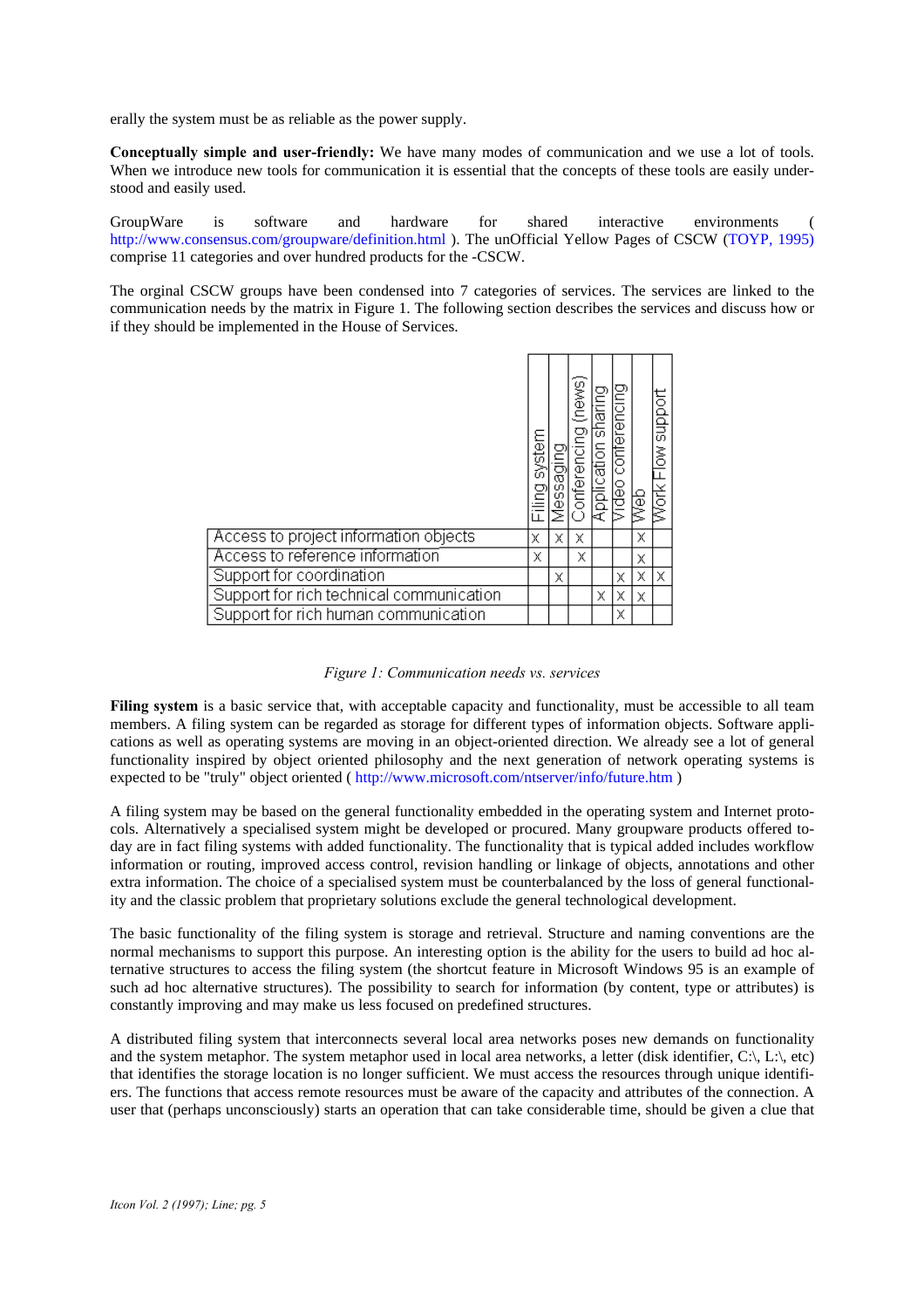erally the system must be as reliable as the power supply.

**Conceptually simple and user-friendly:** We have many modes of communication and we use a lot of tools. When we introduce new tools for communication it is essential that the concepts of these tools are easily understood and easily used.

GroupWare is software and hardware for shared interactive environments ( http://www.consensus.com/groupware/definition.html ). The unOfficial Yellow Pages of CSCW (TOYP, 1995) comprise 11 categories and over hundred products for the -CSCW.

The orginal CSCW groups have been condensed into 7 categories of services. The services are linked to the communication needs by the matrix in Figure 1. The following section describes the services and discuss how or if they should be implemented in the House of Services.

|                                          | system<br>Filing: | Messaging | Conferencing (news) | Application sharing | conterencing<br>Video | web | podns |
|------------------------------------------|-------------------|-----------|---------------------|---------------------|-----------------------|-----|-------|
| Access to project information objects    | Χ                 | Χ         | χ                   |                     |                       | x   |       |
| Access to reference information          | Χ                 |           | Χ                   |                     |                       | Χ   |       |
| Support for coordination                 |                   | Χ         |                     |                     | χ                     | Χ   | Χ     |
| Support for rich technical communication |                   |           |                     | Χ                   | χ                     | x   |       |
| Support for rich human communication     |                   |           |                     |                     | Χ                     |     |       |

#### *Figure 1: Communication needs vs. services*

**Filing system** is a basic service that, with acceptable capacity and functionality, must be accessible to all team members. A filing system can be regarded as storage for different types of information objects. Software applications as well as operating systems are moving in an object-oriented direction. We already see a lot of general functionality inspired by object oriented philosophy and the next generation of network operating systems is expected to be "truly" object oriented ( http://www.microsoft.com/ntserver/info/future.htm )

A filing system may be based on the general functionality embedded in the operating system and Internet protocols. Alternatively a specialised system might be developed or procured. Many groupware products offered today are in fact filing systems with added functionality. The functionality that is typical added includes workflow information or routing, improved access control, revision handling or linkage of objects, annotations and other extra information. The choice of a specialised system must be counterbalanced by the loss of general functionality and the classic problem that proprietary solutions exclude the general technological development.

The basic functionality of the filing system is storage and retrieval. Structure and naming conventions are the normal mechanisms to support this purpose. An interesting option is the ability for the users to build ad hoc alternative structures to access the filing system (the shortcut feature in Microsoft Windows 95 is an example of such ad hoc alternative structures). The possibility to search for information (by content, type or attributes) is constantly improving and may make us less focused on predefined structures.

A distributed filing system that interconnects several local area networks poses new demands on functionality and the system metaphor. The system metaphor used in local area networks, a letter (disk identifier,  $C:\setminus L:\setminus e$ ), etc) that identifies the storage location is no longer sufficient. We must access the resources through unique identifiers. The functions that access remote resources must be aware of the capacity and attributes of the connection. A user that (perhaps unconsciously) starts an operation that can take considerable time, should be given a clue that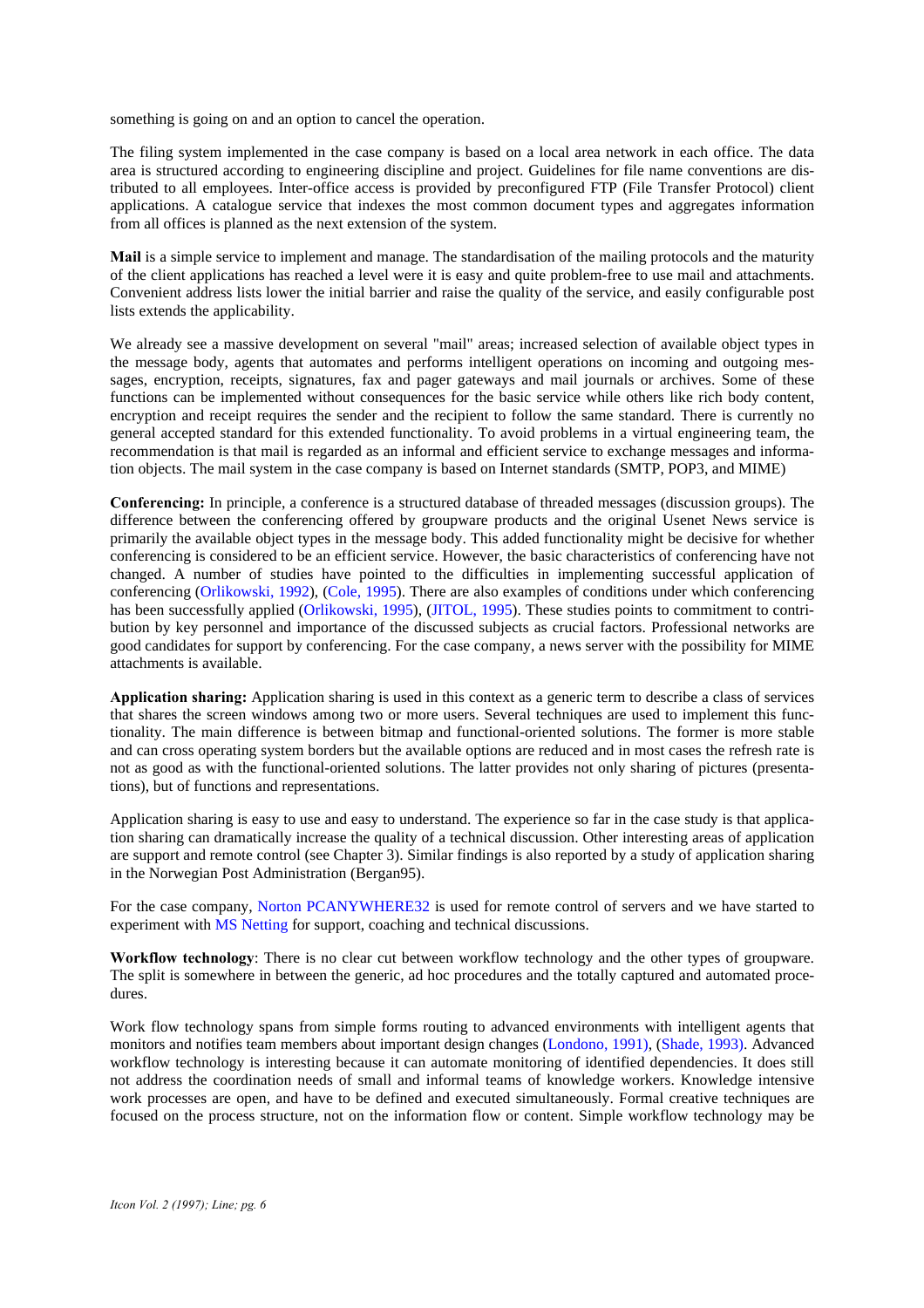something is going on and an option to cancel the operation.

The filing system implemented in the case company is based on a local area network in each office. The data area is structured according to engineering discipline and project. Guidelines for file name conventions are distributed to all employees. Inter-office access is provided by preconfigured FTP (File Transfer Protocol) client applications. A catalogue service that indexes the most common document types and aggregates information from all offices is planned as the next extension of the system.

**Mail** is a simple service to implement and manage. The standardisation of the mailing protocols and the maturity of the client applications has reached a level were it is easy and quite problem-free to use mail and attachments. Convenient address lists lower the initial barrier and raise the quality of the service, and easily configurable post lists extends the applicability.

We already see a massive development on several "mail" areas; increased selection of available object types in the message body, agents that automates and performs intelligent operations on incoming and outgoing messages, encryption, receipts, signatures, fax and pager gateways and mail journals or archives. Some of these functions can be implemented without consequences for the basic service while others like rich body content, encryption and receipt requires the sender and the recipient to follow the same standard. There is currently no general accepted standard for this extended functionality. To avoid problems in a virtual engineering team, the recommendation is that mail is regarded as an informal and efficient service to exchange messages and information objects. The mail system in the case company is based on Internet standards (SMTP, POP3, and MIME)

**Conferencing:** In principle, a conference is a structured database of threaded messages (discussion groups). The difference between the conferencing offered by groupware products and the original Usenet News service is primarily the available object types in the message body. This added functionality might be decisive for whether conferencing is considered to be an efficient service. However, the basic characteristics of conferencing have not changed. A number of studies have pointed to the difficulties in implementing successful application of conferencing (Orlikowski, 1992), (Cole, 1995). There are also examples of conditions under which conferencing has been successfully applied (Orlikowski, 1995), (JITOL, 1995). These studies points to commitment to contribution by key personnel and importance of the discussed subjects as crucial factors. Professional networks are good candidates for support by conferencing. For the case company, a news server with the possibility for MIME attachments is available.

**Application sharing:** Application sharing is used in this context as a generic term to describe a class of services that shares the screen windows among two or more users. Several techniques are used to implement this functionality. The main difference is between bitmap and functional-oriented solutions. The former is more stable and can cross operating system borders but the available options are reduced and in most cases the refresh rate is not as good as with the functional-oriented solutions. The latter provides not only sharing of pictures (presentations), but of functions and representations.

Application sharing is easy to use and easy to understand. The experience so far in the case study is that application sharing can dramatically increase the quality of a technical discussion. Other interesting areas of application are support and remote control (see Chapter 3). Similar findings is also reported by a study of application sharing in the Norwegian Post Administration (Bergan95).

For the case company, Norton PCANYWHERE32 is used for remote control of servers and we have started to experiment with MS Netting for support, coaching and technical discussions.

**Workflow technology**: There is no clear cut between workflow technology and the other types of groupware. The split is somewhere in between the generic, ad hoc procedures and the totally captured and automated procedures.

Work flow technology spans from simple forms routing to advanced environments with intelligent agents that monitors and notifies team members about important design changes (Londono, 1991), (Shade, 1993). Advanced workflow technology is interesting because it can automate monitoring of identified dependencies. It does still not address the coordination needs of small and informal teams of knowledge workers. Knowledge intensive work processes are open, and have to be defined and executed simultaneously. Formal creative techniques are focused on the process structure, not on the information flow or content. Simple workflow technology may be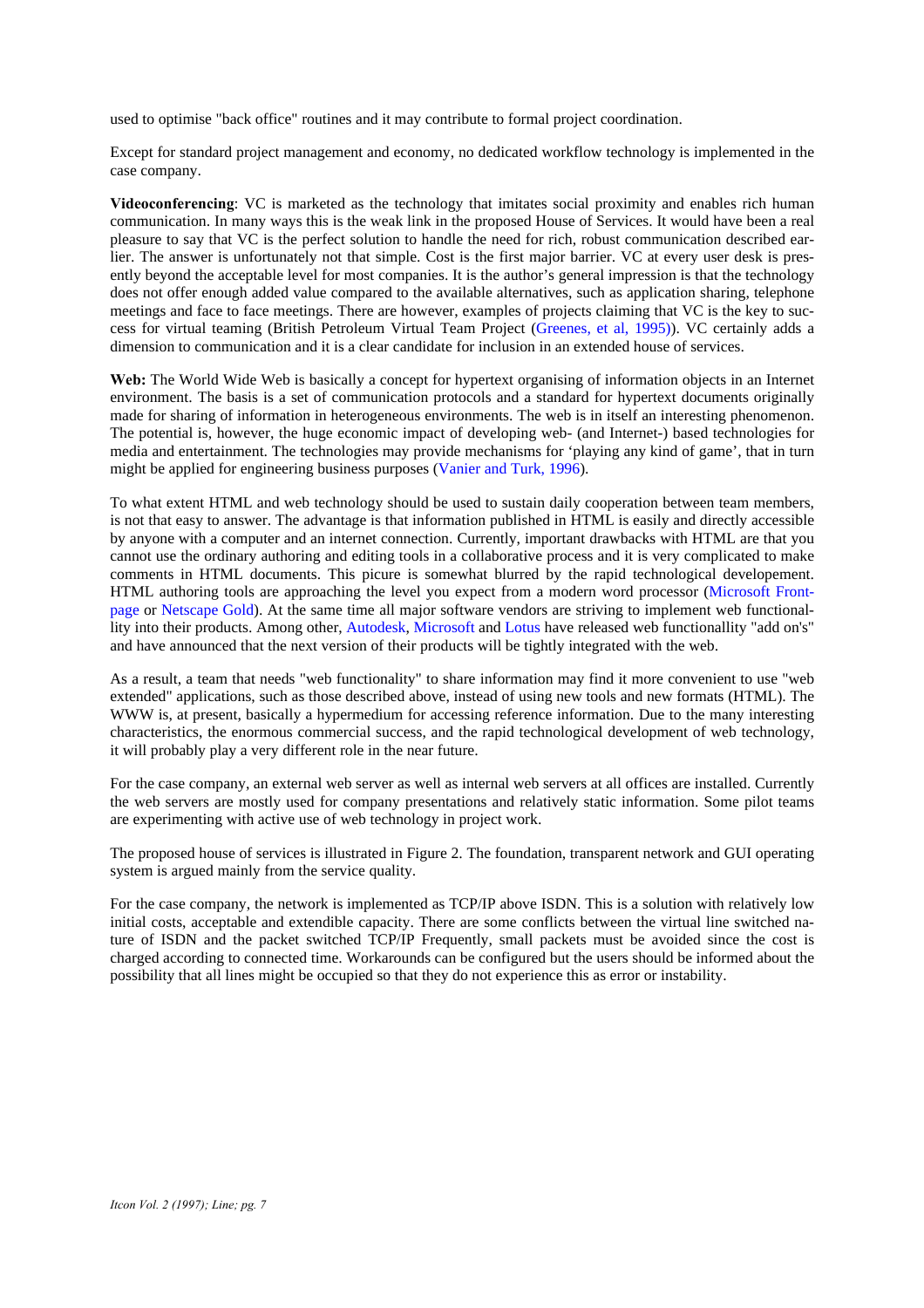used to optimise "back office" routines and it may contribute to formal project coordination.

Except for standard project management and economy, no dedicated workflow technology is implemented in the case company.

**Videoconferencing**: VC is marketed as the technology that imitates social proximity and enables rich human communication. In many ways this is the weak link in the proposed House of Services. It would have been a real pleasure to say that VC is the perfect solution to handle the need for rich, robust communication described earlier. The answer is unfortunately not that simple. Cost is the first major barrier. VC at every user desk is presently beyond the acceptable level for most companies. It is the author's general impression is that the technology does not offer enough added value compared to the available alternatives, such as application sharing, telephone meetings and face to face meetings. There are however, examples of projects claiming that VC is the key to success for virtual teaming (British Petroleum Virtual Team Project (Greenes, et al, 1995)). VC certainly adds a dimension to communication and it is a clear candidate for inclusion in an extended house of services.

**Web:** The World Wide Web is basically a concept for hypertext organising of information objects in an Internet environment. The basis is a set of communication protocols and a standard for hypertext documents originally made for sharing of information in heterogeneous environments. The web is in itself an interesting phenomenon. The potential is, however, the huge economic impact of developing web- (and Internet-) based technologies for media and entertainment. The technologies may provide mechanisms for 'playing any kind of game', that in turn might be applied for engineering business purposes (Vanier and Turk,  $1996$ ).

To what extent HTML and web technology should be used to sustain daily cooperation between team members, is not that easy to answer. The advantage is that information published in HTML is easily and directly accessible by anyone with a computer and an internet connection. Currently, important drawbacks with HTML are that you cannot use the ordinary authoring and editing tools in a collaborative process and it is very complicated to make comments in HTML documents. This picure is somewhat blurred by the rapid technological developement. HTML authoring tools are approaching the level you expect from a modern word processor (Microsoft Frontpage or Netscape Gold). At the same time all major software vendors are striving to implement web functionallity into their products. Among other, Autodesk, Microsoft and Lotus have released web functionallity "add on's" and have announced that the next version of their products will be tightly integrated with the web.

As a result, a team that needs "web functionality" to share information may find it more convenient to use "web extended" applications, such as those described above, instead of using new tools and new formats (HTML). The WWW is, at present, basically a hypermedium for accessing reference information. Due to the many interesting characteristics, the enormous commercial success, and the rapid technological development of web technology, it will probably play a very different role in the near future.

For the case company, an external web server as well as internal web servers at all offices are installed. Currently the web servers are mostly used for company presentations and relatively static information. Some pilot teams are experimenting with active use of web technology in project work.

The proposed house of services is illustrated in Figure 2. The foundation, transparent network and GUI operating system is argued mainly from the service quality.

For the case company, the network is implemented as TCP/IP above ISDN. This is a solution with relatively low initial costs, acceptable and extendible capacity. There are some conflicts between the virtual line switched nature of ISDN and the packet switched TCP/IP Frequently, small packets must be avoided since the cost is charged according to connected time. Workarounds can be configured but the users should be informed about the possibility that all lines might be occupied so that they do not experience this as error or instability.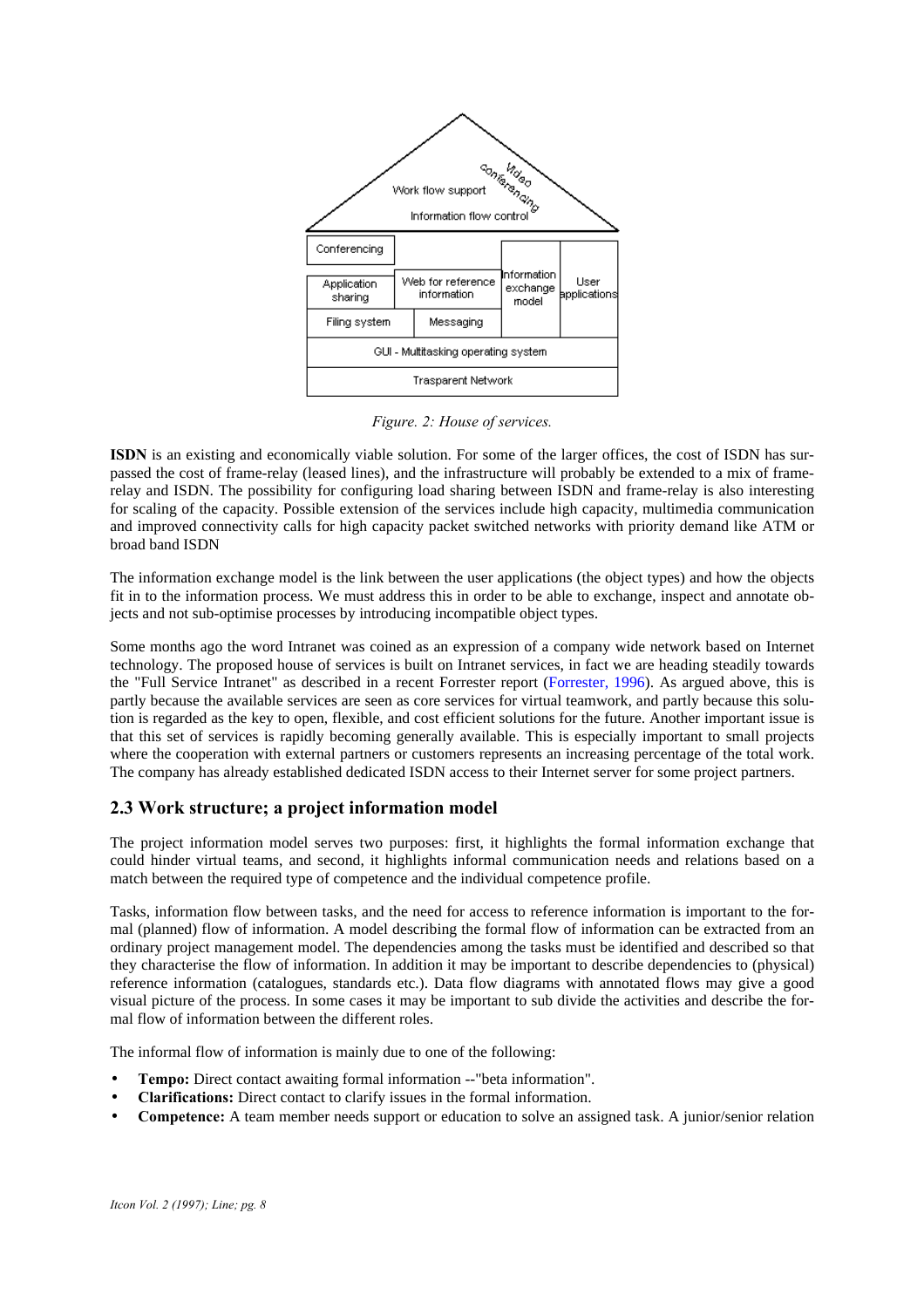

*Figure. 2: House of services.*

**ISDN** is an existing and economically viable solution. For some of the larger offices, the cost of ISDN has surpassed the cost of frame-relay (leased lines), and the infrastructure will probably be extended to a mix of framerelay and ISDN. The possibility for configuring load sharing between ISDN and frame-relay is also interesting for scaling of the capacity. Possible extension of the services include high capacity, multimedia communication and improved connectivity calls for high capacity packet switched networks with priority demand like ATM or broad band ISDN

The information exchange model is the link between the user applications (the object types) and how the objects fit in to the information process. We must address this in order to be able to exchange, inspect and annotate objects and not sub-optimise processes by introducing incompatible object types.

Some months ago the word Intranet was coined as an expression of a company wide network based on Internet technology. The proposed house of services is built on Intranet services, in fact we are heading steadily towards the "Full Service Intranet" as described in a recent Forrester report (Forrester, 1996). As argued above, this is partly because the available services are seen as core services for virtual teamwork, and partly because this solution is regarded as the key to open, flexible, and cost efficient solutions for the future. Another important issue is that this set of services is rapidly becoming generally available. This is especially important to small projects where the cooperation with external partners or customers represents an increasing percentage of the total work. The company has already established dedicated ISDN access to their Internet server for some project partners.

## **2.3 Work structure; a project information model**

The project information model serves two purposes: first, it highlights the formal information exchange that could hinder virtual teams, and second, it highlights informal communication needs and relations based on a match between the required type of competence and the individual competence profile.

Tasks, information flow between tasks, and the need for access to reference information is important to the formal (planned) flow of information. A model describing the formal flow of information can be extracted from an ordinary project management model. The dependencies among the tasks must be identified and described so that they characterise the flow of information. In addition it may be important to describe dependencies to (physical) reference information (catalogues, standards etc.). Data flow diagrams with annotated flows may give a good visual picture of the process. In some cases it may be important to sub divide the activities and describe the formal flow of information between the different roles.

The informal flow of information is mainly due to one of the following:

- **Tempo:** Direct contact awaiting formal information --"beta information".
- **Clarifications:** Direct contact to clarify issues in the formal information.
- **Competence:** A team member needs support or education to solve an assigned task. A junior/senior relation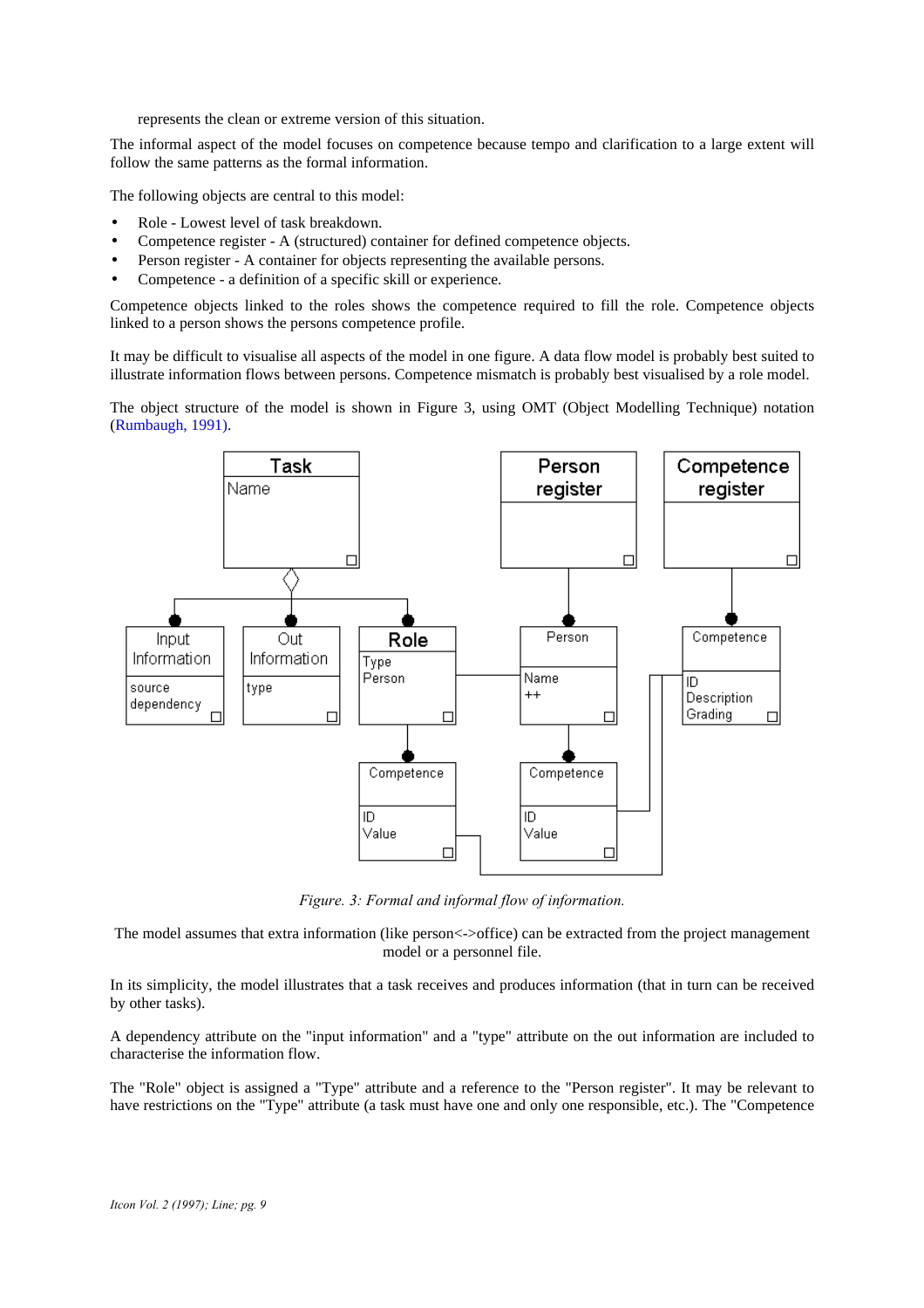represents the clean or extreme version of this situation.

The informal aspect of the model focuses on competence because tempo and clarification to a large extent will follow the same patterns as the formal information.

The following objects are central to this model:

- Role Lowest level of task breakdown.
- Competence register A (structured) container for defined competence objects.
- Person register A container for objects representing the available persons.
- Competence a definition of a specific skill or experience.

Competence objects linked to the roles shows the competence required to fill the role. Competence objects linked to a person shows the persons competence profile.

It may be difficult to visualise all aspects of the model in one figure. A data flow model is probably best suited to illustrate information flows between persons. Competence mismatch is probably best visualised by a role model.

The object structure of the model is shown in Figure 3, using OMT (Object Modelling Technique) notation (Rumbaugh, 1991).



*Figure. 3: Formal and informal flow of information.*

The model assumes that extra information (like person<->office) can be extracted from the project management model or a personnel file.

In its simplicity, the model illustrates that a task receives and produces information (that in turn can be received by other tasks).

A dependency attribute on the "input information" and a "type" attribute on the out information are included to characterise the information flow.

The "Role" object is assigned a "Type" attribute and a reference to the "Person register". It may be relevant to have restrictions on the "Type" attribute (a task must have one and only one responsible, etc.). The "Competence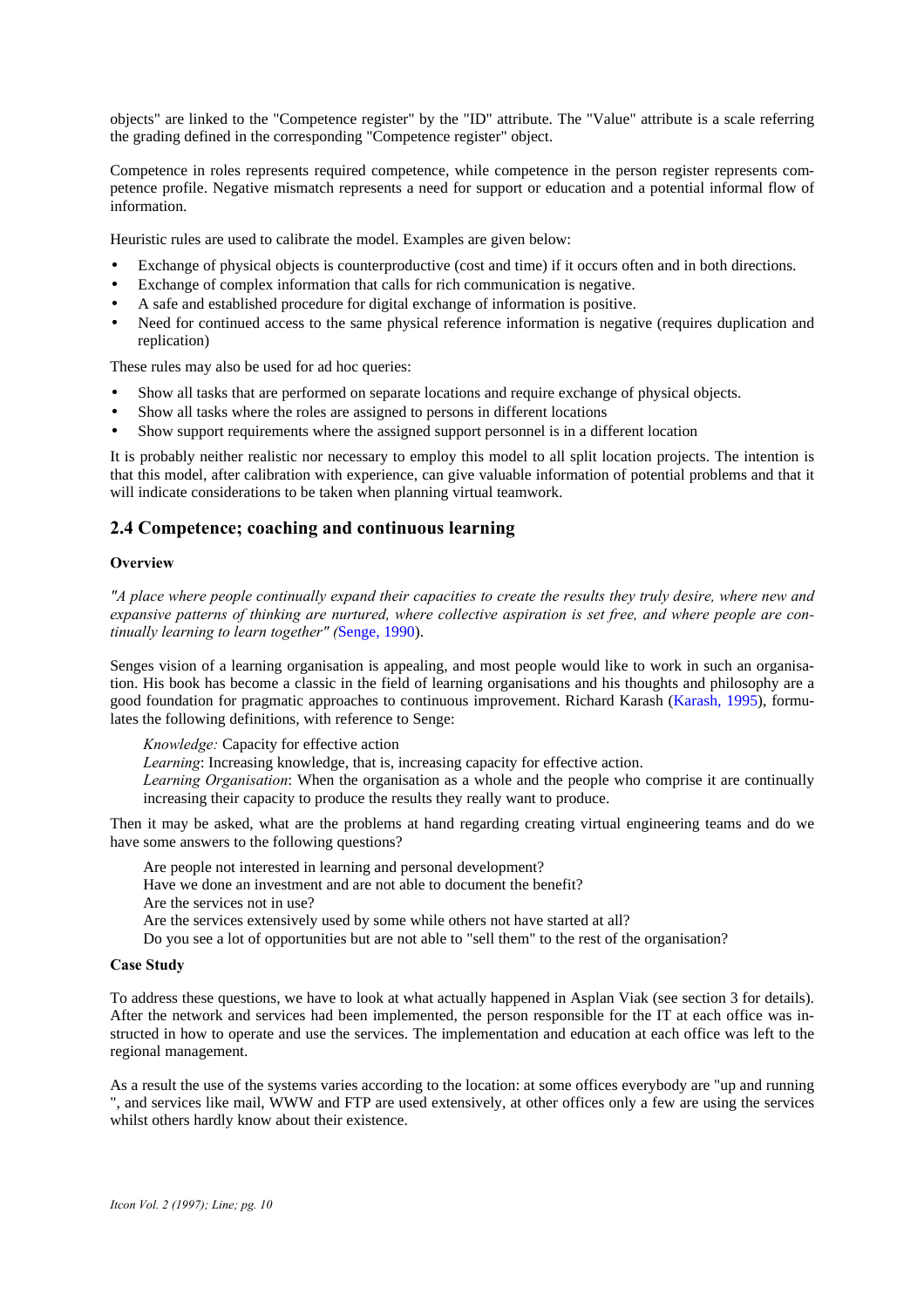objects" are linked to the "Competence register" by the "ID" attribute. The "Value" attribute is a scale referring the grading defined in the corresponding "Competence register" object.

Competence in roles represents required competence, while competence in the person register represents competence profile. Negative mismatch represents a need for support or education and a potential informal flow of information.

Heuristic rules are used to calibrate the model. Examples are given below:

- Exchange of physical objects is counterproductive (cost and time) if it occurs often and in both directions.
- Exchange of complex information that calls for rich communication is negative.
- A safe and established procedure for digital exchange of information is positive.
- Need for continued access to the same physical reference information is negative (requires duplication and replication)

These rules may also be used for ad hoc queries:

- Show all tasks that are performed on separate locations and require exchange of physical objects.
- Show all tasks where the roles are assigned to persons in different locations
- Show support requirements where the assigned support personnel is in a different location

It is probably neither realistic nor necessary to employ this model to all split location projects. The intention is that this model, after calibration with experience, can give valuable information of potential problems and that it will indicate considerations to be taken when planning virtual teamwork.

## **2.4 Competence; coaching and continuous learning**

#### **Overview**

*"A place where people continually expand their capacities to create the results they truly desire, where new and expansive patterns of thinking are nurtured, where collective aspiration is set free, and where people are continually learning to learn together" (*Senge, 1990).

Senges vision of a learning organisation is appealing, and most people would like to work in such an organisation. His book has become a classic in the field of learning organisations and his thoughts and philosophy are a good foundation for pragmatic approaches to continuous improvement. Richard Karash (Karash, 1995), formulates the following definitions, with reference to Senge:

*Knowledge:* Capacity for effective action

*Learning*: Increasing knowledge, that is, increasing capacity for effective action.

*Learning Organisation*: When the organisation as a whole and the people who comprise it are continually increasing their capacity to produce the results they really want to produce.

Then it may be asked, what are the problems at hand regarding creating virtual engineering teams and do we have some answers to the following questions?

Are people not interested in learning and personal development?

- Have we done an investment and are not able to document the benefit?
- Are the services not in use?

Are the services extensively used by some while others not have started at all?

Do you see a lot of opportunities but are not able to "sell them" to the rest of the organisation?

#### **Case Study**

To address these questions, we have to look at what actually happened in Asplan Viak (see section 3 for details). After the network and services had been implemented, the person responsible for the IT at each office was instructed in how to operate and use the services. The implementation and education at each office was left to the regional management.

As a result the use of the systems varies according to the location: at some offices everybody are "up and running ", and services like mail, WWW and FTP are used extensively, at other offices only a few are using the services whilst others hardly know about their existence.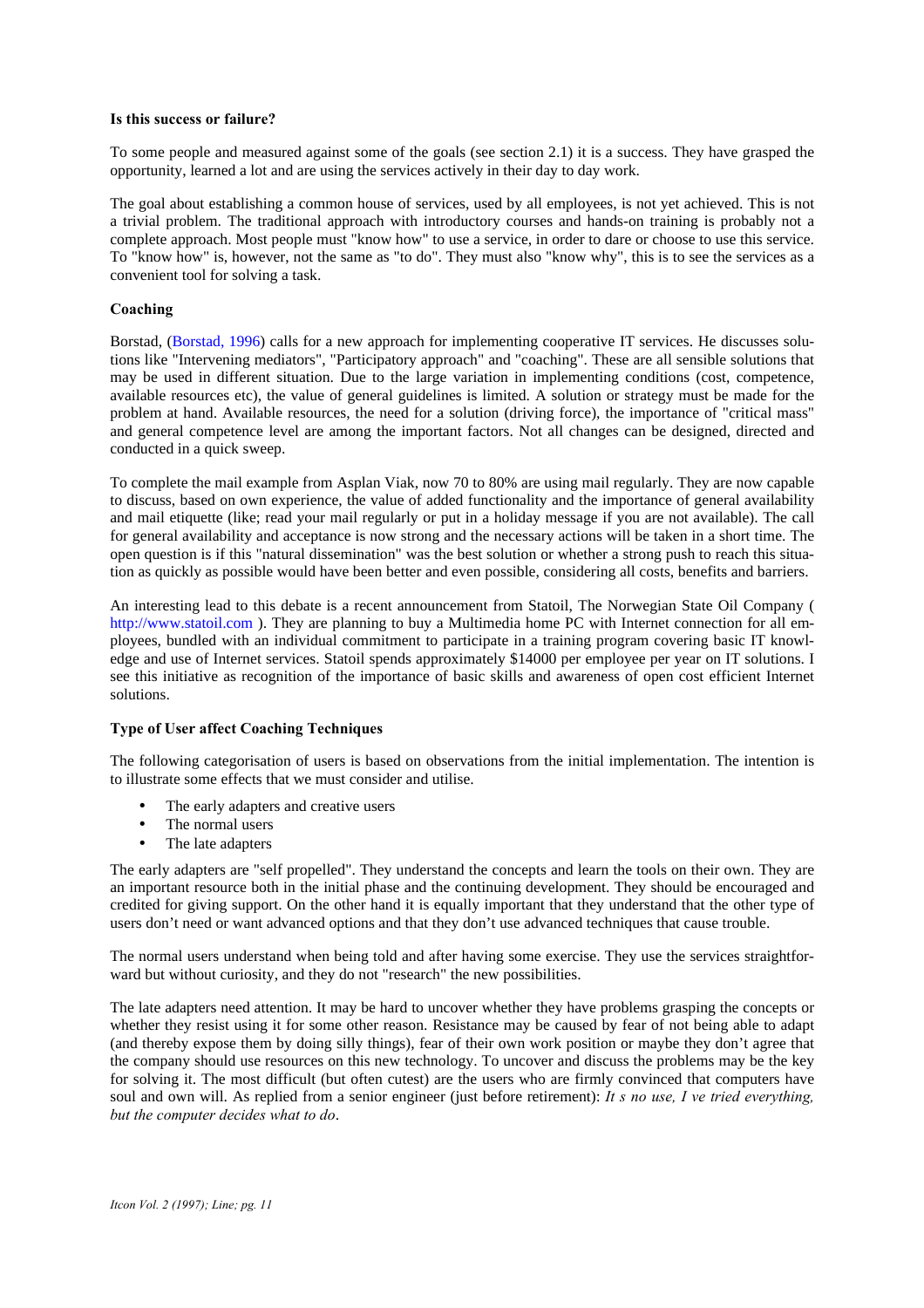#### **Is this success or failure?**

To some people and measured against some of the goals (see section 2.1) it is a success. They have grasped the opportunity, learned a lot and are using the services actively in their day to day work.

The goal about establishing a common house of services, used by all employees, is not yet achieved. This is not a trivial problem. The traditional approach with introductory courses and hands-on training is probably not a complete approach. Most people must "know how" to use a service, in order to dare or choose to use this service. To "know how" is, however, not the same as "to do". They must also "know why", this is to see the services as a convenient tool for solving a task.

#### **Coaching**

Borstad, (Borstad, 1996) calls for a new approach for implementing cooperative IT services. He discusses solutions like "Intervening mediators", "Participatory approach" and "coaching". These are all sensible solutions that may be used in different situation. Due to the large variation in implementing conditions (cost, competence, available resources etc), the value of general guidelines is limited. A solution or strategy must be made for the problem at hand. Available resources, the need for a solution (driving force), the importance of "critical mass" and general competence level are among the important factors. Not all changes can be designed, directed and conducted in a quick sweep.

To complete the mail example from Asplan Viak, now 70 to 80% are using mail regularly. They are now capable to discuss, based on own experience, the value of added functionality and the importance of general availability and mail etiquette (like; read your mail regularly or put in a holiday message if you are not available). The call for general availability and acceptance is now strong and the necessary actions will be taken in a short time. The open question is if this "natural dissemination" was the best solution or whether a strong push to reach this situation as quickly as possible would have been better and even possible, considering all costs, benefits and barriers.

An interesting lead to this debate is a recent announcement from Statoil, The Norwegian State Oil Company ( http://www.statoil.com ). They are planning to buy a Multimedia home PC with Internet connection for all employees, bundled with an individual commitment to participate in a training program covering basic IT knowledge and use of Internet services. Statoil spends approximately \$14000 per employee per year on IT solutions. I see this initiative as recognition of the importance of basic skills and awareness of open cost efficient Internet solutions.

#### **Type of User affect Coaching Techniques**

The following categorisation of users is based on observations from the initial implementation. The intention is to illustrate some effects that we must consider and utilise.

- The early adapters and creative users
- The normal users
- The late adapters

The early adapters are "self propelled". They understand the concepts and learn the tools on their own. They are an important resource both in the initial phase and the continuing development. They should be encouraged and credited for giving support. On the other hand it is equally important that they understand that the other type of users don't need or want advanced options and that they don't use advanced techniques that cause trouble.

The normal users understand when being told and after having some exercise. They use the services straightforward but without curiosity, and they do not "research" the new possibilities.

The late adapters need attention. It may be hard to uncover whether they have problems grasping the concepts or whether they resist using it for some other reason. Resistance may be caused by fear of not being able to adapt (and thereby expose them by doing silly things), fear of their own work position or maybe they don't agree that the company should use resources on this new technology. To uncover and discuss the problems may be the key for solving it. The most difficult (but often cutest) are the users who are firmly convinced that computers have soul and own will. As replied from a senior engineer (just before retirement): *It s no use, I ve tried everything*, *but the computer decides what to do*.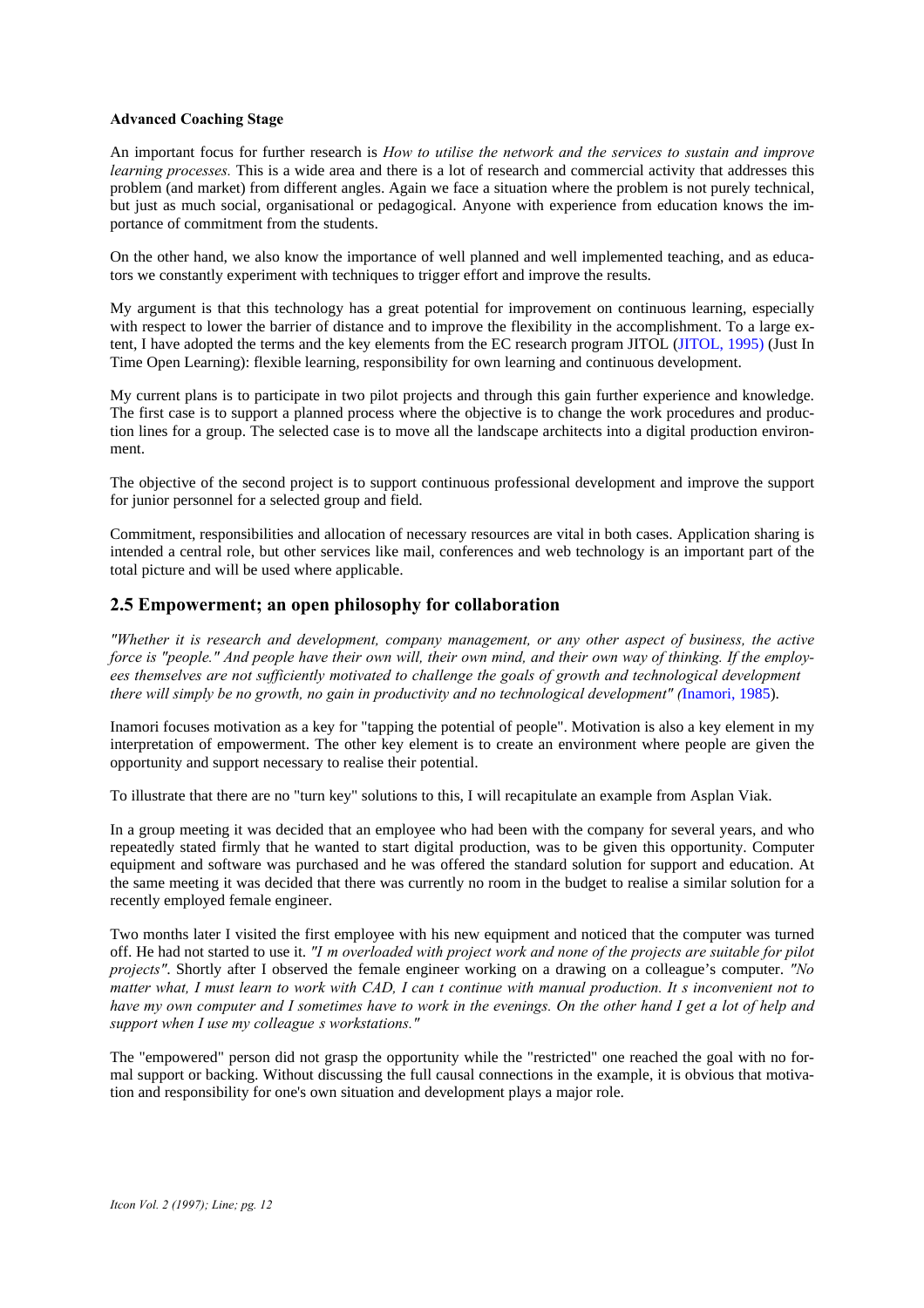#### **Advanced Coaching Stage**

An important focus for further research is *How to utilise the network and the services to sustain and improve learning processes.* This is a wide area and there is a lot of research and commercial activity that addresses this problem (and market) from different angles. Again we face a situation where the problem is not purely technical, but just as much social, organisational or pedagogical. Anyone with experience from education knows the importance of commitment from the students.

On the other hand, we also know the importance of well planned and well implemented teaching, and as educators we constantly experiment with techniques to trigger effort and improve the results.

My argument is that this technology has a great potential for improvement on continuous learning, especially with respect to lower the barrier of distance and to improve the flexibility in the accomplishment. To a large extent, I have adopted the terms and the key elements from the EC research program JITOL (JITOL, 1995) (Just In Time Open Learning): flexible learning, responsibility for own learning and continuous development.

My current plans is to participate in two pilot projects and through this gain further experience and knowledge. The first case is to support a planned process where the objective is to change the work procedures and production lines for a group. The selected case is to move all the landscape architects into a digital production environment.

The objective of the second project is to support continuous professional development and improve the support for junior personnel for a selected group and field.

Commitment, responsibilities and allocation of necessary resources are vital in both cases. Application sharing is intended a central role, but other services like mail, conferences and web technology is an important part of the total picture and will be used where applicable.

## **2.5 Empowerment; an open philosophy for collaboration**

*"Whether it is research and development, company management, or any other aspect of business, the active force is "people." And people have their own will, their own mind, and their own way of thinking. If the employees themselves are not sufficiently motivated to challenge the goals of growth and technological development… there will simply be no growth, no gain in productivity and no technological development" (*Inamori, 1985).

Inamori focuses motivation as a key for "tapping the potential of people". Motivation is also a key element in my interpretation of empowerment. The other key element is to create an environment where people are given the opportunity and support necessary to realise their potential.

To illustrate that there are no "turn key" solutions to this, I will recapitulate an example from Asplan Viak.

In a group meeting it was decided that an employee who had been with the company for several years, and who repeatedly stated firmly that he wanted to start digital production, was to be given this opportunity. Computer equipment and software was purchased and he was offered the standard solution for support and education. At the same meeting it was decided that there was currently no room in the budget to realise a similar solution for a recently employed female engineer.

Two months later I visited the first employee with his new equipment and noticed that the computer was turned off. He had not started to use it. *"I'm overloaded with project work and none of the projects are suitable for pilot projects"*. Shortly after I observed the female engineer working on a drawing on a colleague's computer. *"No matter what, I must learn to work with CAD, I can t continue with manual production. It s inconvenient not to have my own computer and I sometimes have to work in the evenings. On the other hand I get a lot of help and support when I use my colleague's workstations."*

The "empowered" person did not grasp the opportunity while the "restricted" one reached the goal with no formal support or backing. Without discussing the full causal connections in the example, it is obvious that motivation and responsibility for one's own situation and development plays a major role.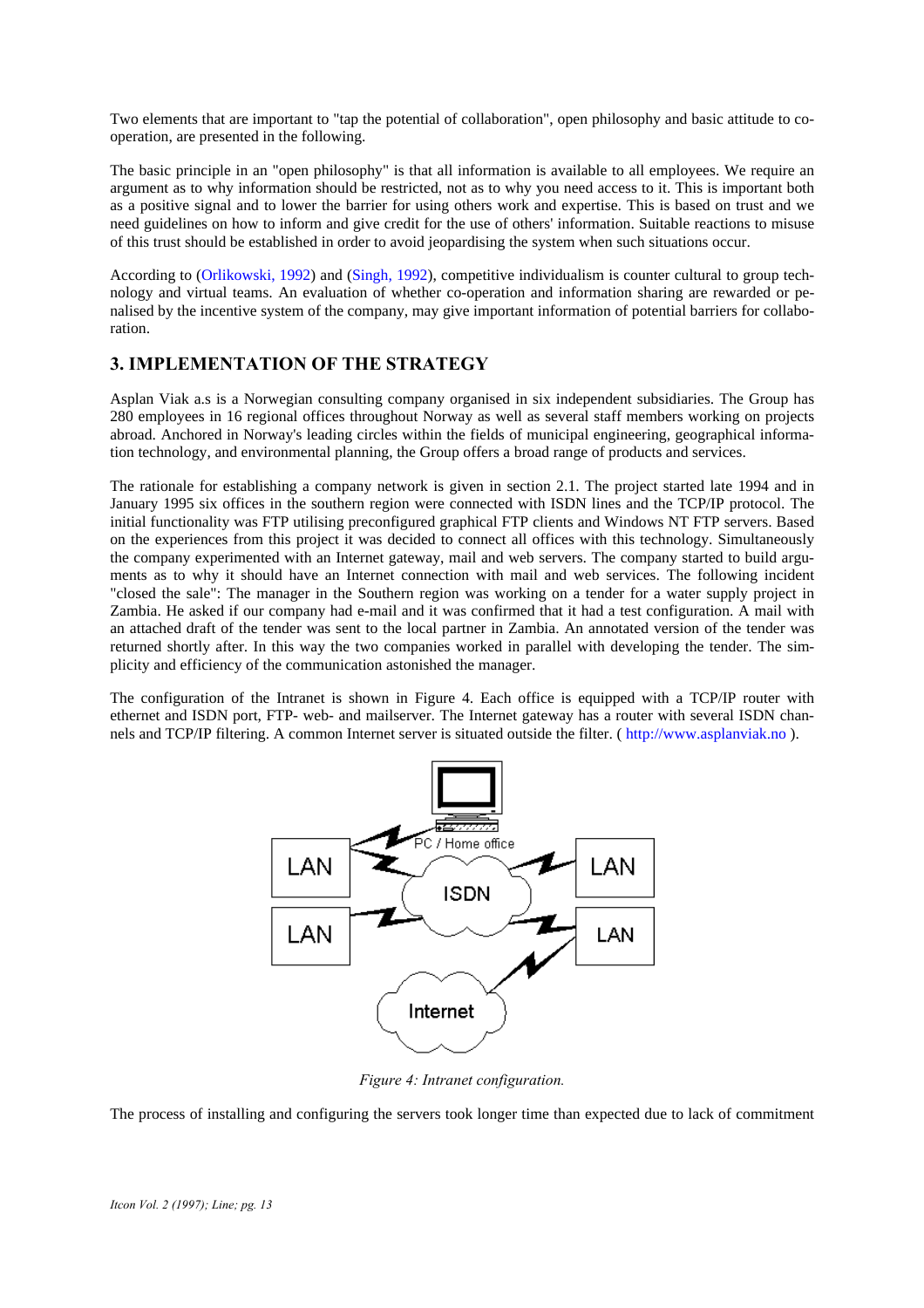Two elements that are important to "tap the potential of collaboration", open philosophy and basic attitude to cooperation, are presented in the following.

The basic principle in an "open philosophy" is that all information is available to all employees. We require an argument as to why information should be restricted, not as to why you need access to it. This is important both as a positive signal and to lower the barrier for using others work and expertise. This is based on trust and we need guidelines on how to inform and give credit for the use of others' information. Suitable reactions to misuse of this trust should be established in order to avoid jeopardising the system when such situations occur.

According to (Orlikowski, 1992) and (Singh, 1992), competitive individualism is counter cultural to group technology and virtual teams. An evaluation of whether co-operation and information sharing are rewarded or penalised by the incentive system of the company, may give important information of potential barriers for collaboration.

## **3. IMPLEMENTATION OF THE STRATEGY**

Asplan Viak a.s is a Norwegian consulting company organised in six independent subsidiaries. The Group has 280 employees in 16 regional offices throughout Norway as well as several staff members working on projects abroad. Anchored in Norway's leading circles within the fields of municipal engineering, geographical information technology, and environmental planning, the Group offers a broad range of products and services.

The rationale for establishing a company network is given in section 2.1. The project started late 1994 and in January 1995 six offices in the southern region were connected with ISDN lines and the TCP/IP protocol. The initial functionality was FTP utilising preconfigured graphical FTP clients and Windows NT FTP servers. Based on the experiences from this project it was decided to connect all offices with this technology. Simultaneously the company experimented with an Internet gateway, mail and web servers. The company started to build arguments as to why it should have an Internet connection with mail and web services. The following incident "closed the sale": The manager in the Southern region was working on a tender for a water supply project in Zambia. He asked if our company had e-mail and it was confirmed that it had a test configuration. A mail with an attached draft of the tender was sent to the local partner in Zambia. An annotated version of the tender was returned shortly after. In this way the two companies worked in parallel with developing the tender. The simplicity and efficiency of the communication astonished the manager.

The configuration of the Intranet is shown in Figure 4. Each office is equipped with a TCP/IP router with ethernet and ISDN port, FTP- web- and mailserver. The Internet gateway has a router with several ISDN channels and TCP/IP filtering. A common Internet server is situated outside the filter. ( http://www.asplanviak.no ).



*Figure 4: Intranet configuration.*

The process of installing and configuring the servers took longer time than expected due to lack of commitment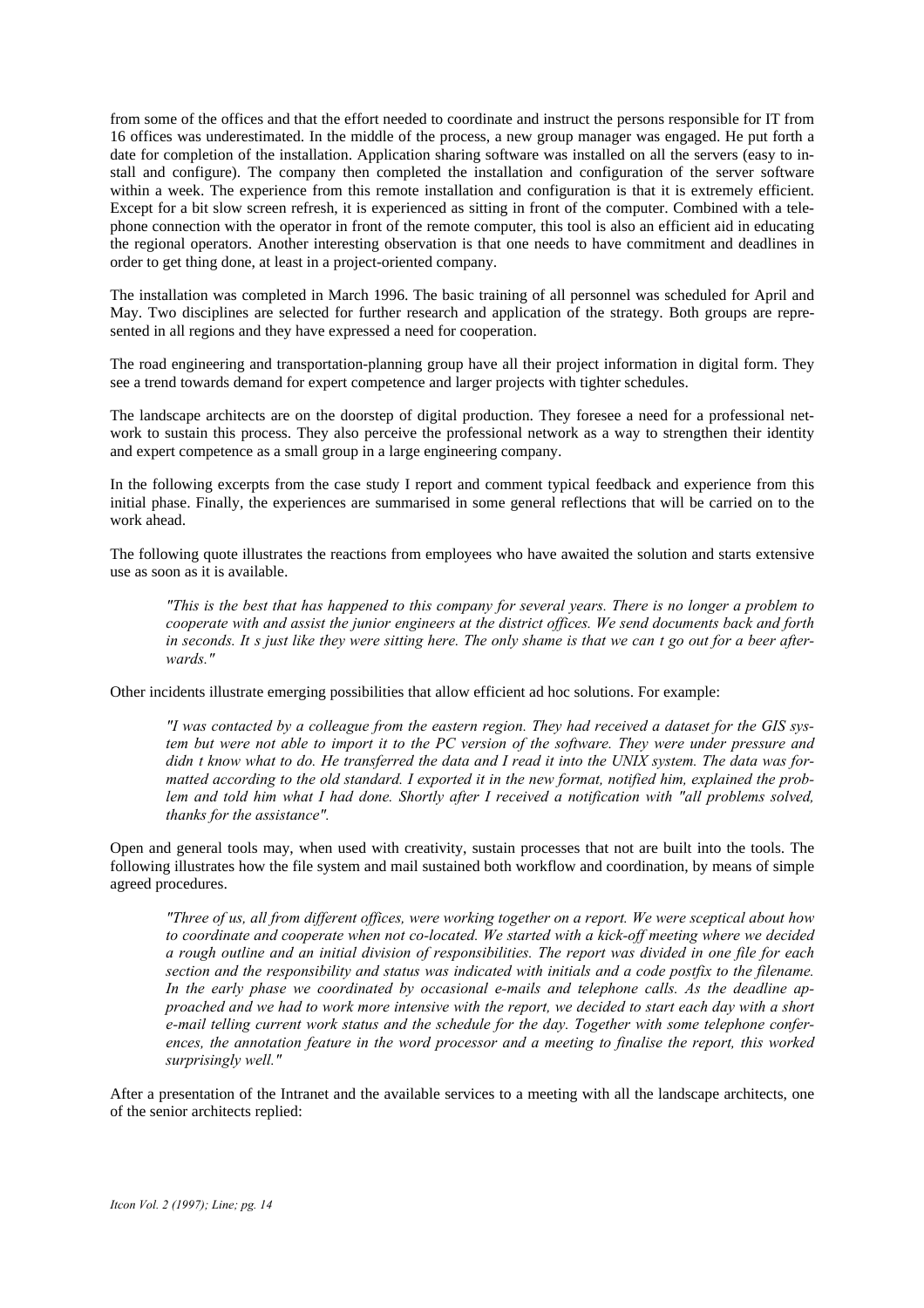from some of the offices and that the effort needed to coordinate and instruct the persons responsible for IT from 16 offices was underestimated. In the middle of the process, a new group manager was engaged. He put forth a date for completion of the installation. Application sharing software was installed on all the servers (easy to install and configure). The company then completed the installation and configuration of the server software within a week. The experience from this remote installation and configuration is that it is extremely efficient. Except for a bit slow screen refresh, it is experienced as sitting in front of the computer. Combined with a telephone connection with the operator in front of the remote computer, this tool is also an efficient aid in educating the regional operators. Another interesting observation is that one needs to have commitment and deadlines in order to get thing done, at least in a project-oriented company.

The installation was completed in March 1996. The basic training of all personnel was scheduled for April and May. Two disciplines are selected for further research and application of the strategy. Both groups are represented in all regions and they have expressed a need for cooperation.

The road engineering and transportation-planning group have all their project information in digital form. They see a trend towards demand for expert competence and larger projects with tighter schedules.

The landscape architects are on the doorstep of digital production. They foresee a need for a professional network to sustain this process. They also perceive the professional network as a way to strengthen their identity and expert competence as a small group in a large engineering company.

In the following excerpts from the case study I report and comment typical feedback and experience from this initial phase. Finally, the experiences are summarised in some general reflections that will be carried on to the work ahead.

The following quote illustrates the reactions from employees who have awaited the solution and starts extensive use as soon as it is available.

*"This is the best that has happened to this company for several years. There is no longer a problem to cooperate with and assist the junior engineers at the district offices. We send documents back and forth* in seconds. It s just like they were sitting here. The only shame is that we can t go out for a beer after*wards."*

Other incidents illustrate emerging possibilities that allow efficient ad hoc solutions. For example:

*"I was contacted by a colleague from the eastern region. They had received a dataset for the GIS system but were not able to import it to the PC version of the software. They were under pressure and* didn *t* know what to do. He transferred the data and I read it into the UNIX system. The data was for*matted according to the old standard. I exported it in the new format, notified him, explained the problem and told him what I had done. Shortly after I received a notification with "all problems solved, thanks for the assistance".*

Open and general tools may, when used with creativity, sustain processes that not are built into the tools. The following illustrates how the file system and mail sustained both workflow and coordination, by means of simple agreed procedures.

*"Three of us, all from different offices, were working together on a report. We were sceptical about how to coordinate and cooperate when not co-located. We started with a kick-off meeting where we decided a rough outline and an initial division of responsibilities. The report was divided in one file for each section and the responsibility and status was indicated with initials and a code postfix to the filename. In the early phase we coordinated by occasional e-mails and telephone calls. As the deadline approached and we had to work more intensive with the report, we decided to start each day with a short e-mail telling current work status and the schedule for the day. Together with some telephone conferences, the annotation feature in the word processor and a meeting to finalise the report, this worked surprisingly well."*

After a presentation of the Intranet and the available services to a meeting with all the landscape architects, one of the senior architects replied: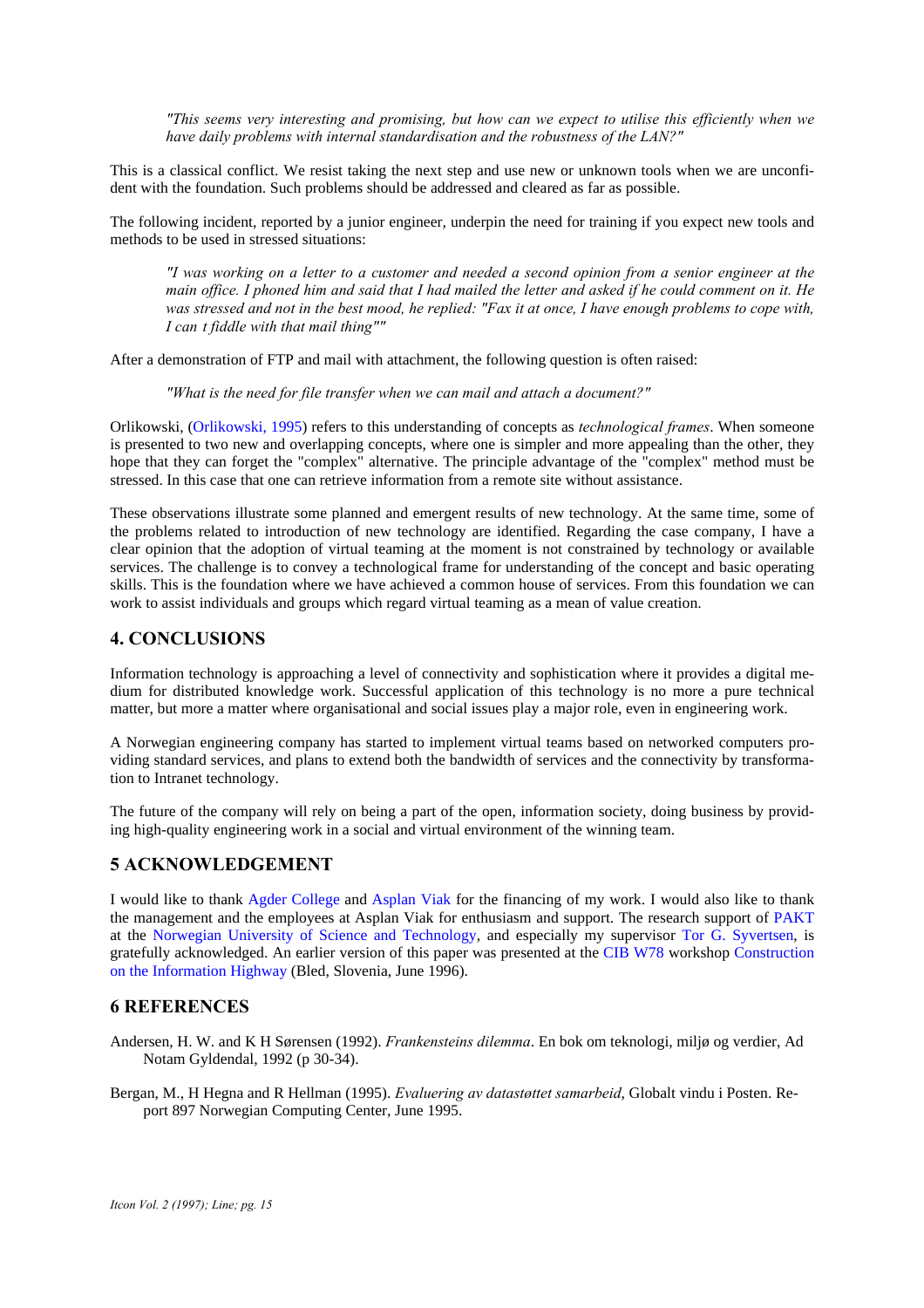*"This seems very interesting and promising, but how can we expect to utilise this efficiently when we have daily problems with internal standardisation and the robustness of the LAN?"*

This is a classical conflict. We resist taking the next step and use new or unknown tools when we are unconfident with the foundation. Such problems should be addressed and cleared as far as possible.

The following incident, reported by a junior engineer, underpin the need for training if you expect new tools and methods to be used in stressed situations:

*"I was working on a letter to a customer and needed a second opinion from a senior engineer at the main office. I phoned him and said that I had mailed the letter and asked if he could comment on it. He was stressed and not in the best mood, he replied: "Fax it at once, I have enough problems to cope with, I can't fiddle with that mail thing""*

After a demonstration of FTP and mail with attachment, the following question is often raised:

*"What is the need for file transfer when we can mail and attach a document?"*

Orlikowski, (Orlikowski, 1995) refers to this understanding of concepts as *technological frames*. When someone is presented to two new and overlapping concepts, where one is simpler and more appealing than the other, they hope that they can forget the "complex" alternative. The principle advantage of the "complex" method must be stressed. In this case that one can retrieve information from a remote site without assistance.

These observations illustrate some planned and emergent results of new technology. At the same time, some of the problems related to introduction of new technology are identified. Regarding the case company, I have a clear opinion that the adoption of virtual teaming at the moment is not constrained by technology or available services. The challenge is to convey a technological frame for understanding of the concept and basic operating skills. This is the foundation where we have achieved a common house of services. From this foundation we can work to assist individuals and groups which regard virtual teaming as a mean of value creation.

## **4. CONCLUSIONS**

Information technology is approaching a level of connectivity and sophistication where it provides a digital medium for distributed knowledge work. Successful application of this technology is no more a pure technical matter, but more a matter where organisational and social issues play a major role, even in engineering work.

A Norwegian engineering company has started to implement virtual teams based on networked computers providing standard services, and plans to extend both the bandwidth of services and the connectivity by transformation to Intranet technology.

The future of the company will rely on being a part of the open, information society, doing business by providing high-quality engineering work in a social and virtual environment of the winning team.

## **5 ACKNOWLEDGEMENT**

I would like to thank Agder College and Asplan Viak for the financing of my work. I would also like to thank the management and the employees at Asplan Viak for enthusiasm and support. The research support of PAKT at the Norwegian University of Science and Technology, and especially my supervisor Tor G. Syvertsen, is gratefully acknowledged. An earlier version of this paper was presented at the CIB W78 workshop Construction on the Information Highway (Bled, Slovenia, June 1996).

## **6 REFERENCES**

- Andersen, H. W. and K H Sørensen (1992). *Frankensteins dilemma*. En bok om teknologi, miljø og verdier, Ad Notam Gyldendal, 1992 (p 30-34).
- Bergan, M., H Hegna and R Hellman (1995). *Evaluering av datastøttet samarbeid*, Globalt vindu i Posten. Report 897 Norwegian Computing Center, June 1995.